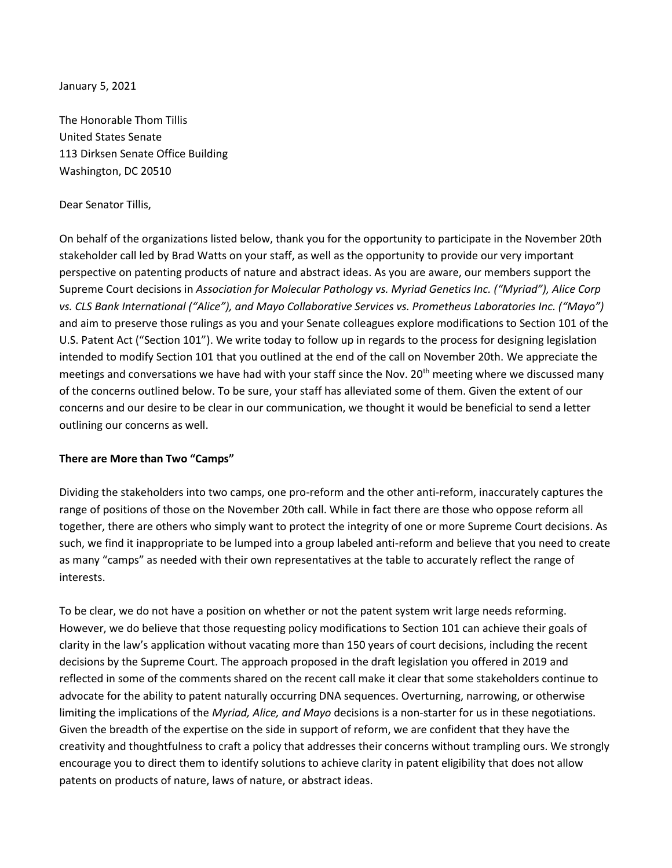January 5, 2021

The Honorable Thom Tillis United States Senate 113 Dirksen Senate Office Building Washington, DC 20510

## Dear Senator Tillis,

On behalf of the organizations listed below, thank you for the opportunity to participate in the November 20th stakeholder call led by Brad Watts on your staff, as well as the opportunity to provide our very important perspective on patenting products of nature and abstract ideas. As you are aware, our members support the Supreme Court decisions in *Association for Molecular Pathology vs. Myriad Genetics Inc. ("Myriad"), Alice Corp vs. CLS Bank International ("Alice"), and Mayo Collaborative Services vs. Prometheus Laboratories Inc. ("Mayo")* and aim to preserve those rulings as you and your Senate colleagues explore modifications to Section 101 of the U.S. Patent Act ("Section 101"). We write today to follow up in regards to the process for designing legislation intended to modify Section 101 that you outlined at the end of the call on November 20th. We appreciate the meetings and conversations we have had with your staff since the Nov. 20<sup>th</sup> meeting where we discussed many of the concerns outlined below. To be sure, your staff has alleviated some of them. Given the extent of our concerns and our desire to be clear in our communication, we thought it would be beneficial to send a letter outlining our concerns as well.

## **There are More than Two "Camps"**

Dividing the stakeholders into two camps, one pro-reform and the other anti-reform, inaccurately captures the range of positions of those on the November 20th call. While in fact there are those who oppose reform all together, there are others who simply want to protect the integrity of one or more Supreme Court decisions. As such, we find it inappropriate to be lumped into a group labeled anti-reform and believe that you need to create as many "camps" as needed with their own representatives at the table to accurately reflect the range of interests.

To be clear, we do not have a position on whether or not the patent system writ large needs reforming. However, we do believe that those requesting policy modifications to Section 101 can achieve their goals of clarity in the law's application without vacating more than 150 years of court decisions, including the recent decisions by the Supreme Court. The approach proposed in the draft legislation you offered in 2019 and reflected in some of the comments shared on the recent call make it clear that some stakeholders continue to advocate for the ability to patent naturally occurring DNA sequences. Overturning, narrowing, or otherwise limiting the implications of the *Myriad, Alice, and Mayo* decisions is a non-starter for us in these negotiations. Given the breadth of the expertise on the side in support of reform, we are confident that they have the creativity and thoughtfulness to craft a policy that addresses their concerns without trampling ours. We strongly encourage you to direct them to identify solutions to achieve clarity in patent eligibility that does not allow patents on products of nature, laws of nature, or abstract ideas.